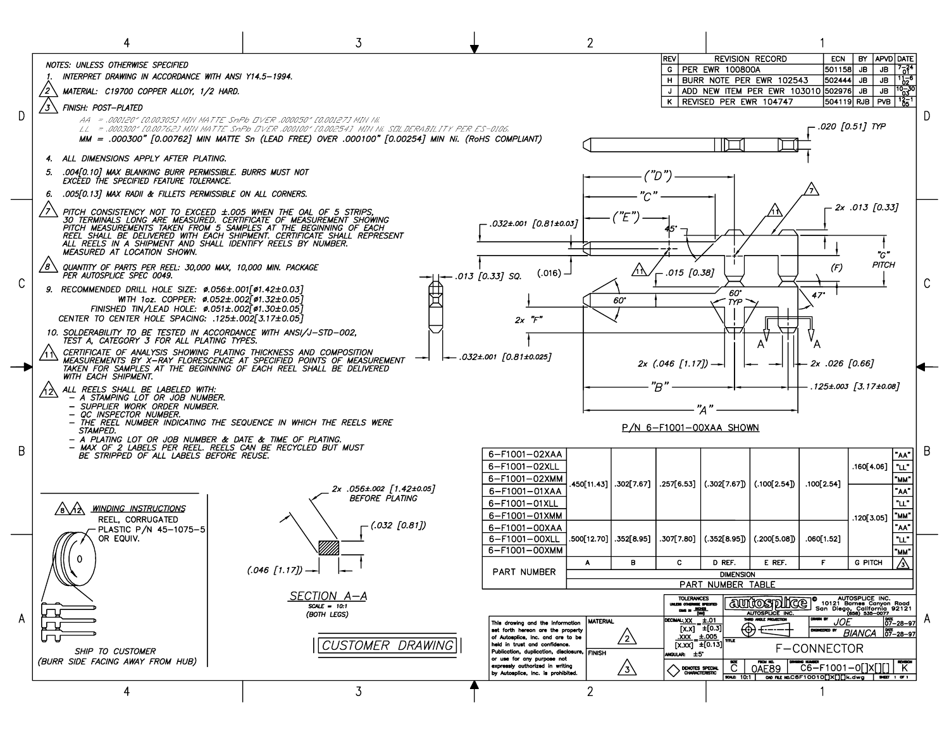